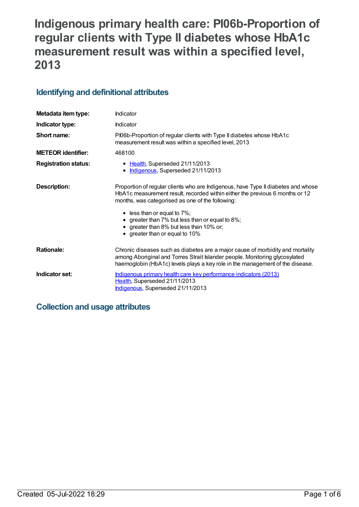# **Indigenous primary health care: PI06b-Proportion of regular clients with Type II diabetes whose HbA1c measurement result was within a specified level, 2013**

## **Identifying and definitional attributes**

| Metadata item type:         | Indicator                                                                                                                                                                                                                                      |  |
|-----------------------------|------------------------------------------------------------------------------------------------------------------------------------------------------------------------------------------------------------------------------------------------|--|
| Indicator type:             | Indicator                                                                                                                                                                                                                                      |  |
| Short name:                 | PI06b-Proportion of regular clients with Type II diabetes whose HbA1c<br>measurement result was within a specified level, 2013                                                                                                                 |  |
| <b>METEOR</b> identifier:   | 468100                                                                                                                                                                                                                                         |  |
| <b>Registration status:</b> | • Health, Superseded 21/11/2013<br>• Indigenous, Superseded 21/11/2013                                                                                                                                                                         |  |
| Description:                | Proportion of regular clients who are Indigenous, have Type II diabetes and whose<br>HbA1c measurement result, recorded within either the previous 6 months or 12<br>months, was categorised as one of the following:                          |  |
|                             | $\bullet$ less than or equal to 7%;<br>• greater than 7% but less than or equal to 8%;<br>• greater than 8% but less than 10% or;<br>• greater than or equal to 10%                                                                            |  |
| <b>Rationale:</b>           | Chronic diseases such as diabetes are a major cause of morbidity and mortality<br>among Aboriginal and Torres Strait Islander people. Monitoring glycosylated<br>haemoglobin (HbA1c) levels plays a key role in the management of the disease. |  |
| Indicator set:              | Indigenous primary health care key performance indicators (2013)<br>Health, Superseded 21/11/2013<br>Indigenous, Superseded 21/11/2013                                                                                                         |  |

## **Collection and usage attributes**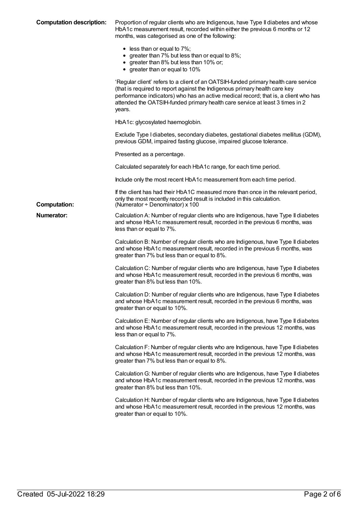| <b>Computation description:</b> | Proportion of regular clients who are Indigenous, have Type II diabetes and whose<br>HbA1c measurement result, recorded within either the previous 6 months or 12<br>months, was categorised as one of the following:                                                                                                                              |  |
|---------------------------------|----------------------------------------------------------------------------------------------------------------------------------------------------------------------------------------------------------------------------------------------------------------------------------------------------------------------------------------------------|--|
|                                 | $\bullet$ less than or equal to 7%;<br>• greater than 7% but less than or equal to 8%;<br>• greater than 8% but less than 10% or;<br>• greater than or equal to 10%                                                                                                                                                                                |  |
|                                 | 'Regular client' refers to a client of an OATSIH-funded primary health care service<br>(that is required to report against the Indigenous primary health care key<br>performance indicators) who has an active medical record; that is, a client who has<br>attended the OATSIH-funded primary health care service at least 3 times in 2<br>years. |  |
|                                 | HbA1c: glycosylated haemoglobin.                                                                                                                                                                                                                                                                                                                   |  |
|                                 | Exclude Type I diabetes, secondary diabetes, gestational diabetes mellitus (GDM),<br>previous GDM, impaired fasting glucose, impaired glucose tolerance.                                                                                                                                                                                           |  |
|                                 | Presented as a percentage.                                                                                                                                                                                                                                                                                                                         |  |
| <b>Computation:</b>             | Calculated separately for each HbA1c range, for each time period.                                                                                                                                                                                                                                                                                  |  |
|                                 | Include only the most recent HbA1c measurement from each time period.                                                                                                                                                                                                                                                                              |  |
|                                 | If the client has had their HbA1C measured more than once in the relevant period,<br>only the most recently recorded result is included in this calculation.<br>(Numerator $\div$ Denominator) x 100                                                                                                                                               |  |
| <b>Numerator:</b>               | Calculation A: Number of regular clients who are Indigenous, have Type II diabetes<br>and whose HbA1c measurement result, recorded in the previous 6 months, was<br>less than or equal to 7%.                                                                                                                                                      |  |
|                                 | Calculation B: Number of regular clients who are Indigenous, have Type II diabetes<br>and whose HbA1c measurement result, recorded in the previous 6 months, was<br>greater than 7% but less than or equal to 8%.                                                                                                                                  |  |
|                                 | Calculation C: Number of regular clients who are Indigenous, have Type II diabetes<br>and whose HbA1c measurement result, recorded in the previous 6 months, was<br>greater than 8% but less than 10%.                                                                                                                                             |  |
|                                 | Calculation D: Number of regular clients who are Indigenous, have Type II diabetes<br>and whose HbA1c measurement result, recorded in the previous 6 months, was<br>greater than or equal to 10%.                                                                                                                                                  |  |
|                                 | Calculation E: Number of regular clients who are Indigenous, have Type II diabetes<br>and whose HbA1c measurement result, recorded in the previous 12 months, was<br>less than or equal to 7%.                                                                                                                                                     |  |
|                                 | Calculation F: Number of regular clients who are Indigenous, have Type II diabetes<br>and whose HbA1c measurement result, recorded in the previous 12 months, was<br>greater than 7% but less than or equal to 8%.                                                                                                                                 |  |
|                                 | Calculation G: Number of regular clients who are Indigenous, have Type II diabetes<br>and whose HbA1c measurement result, recorded in the previous 12 months, was<br>greater than 8% but less than 10%.                                                                                                                                            |  |
|                                 | Calculation H: Number of regular clients who are Indigenous, have Type II diabetes<br>and whose HbA1c measurement result, recorded in the previous 12 months, was<br>greater than or equal to 10%.                                                                                                                                                 |  |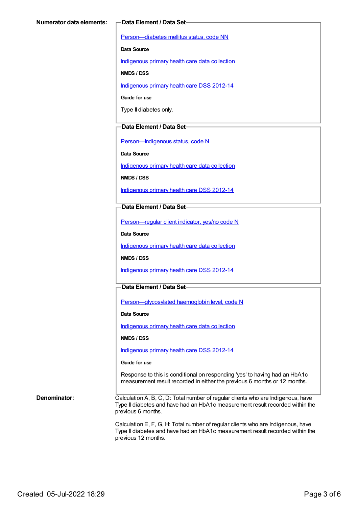[Person—diabetes](https://meteor.aihw.gov.au/content/270194) mellitus status, code NN

**Data Source**

[Indigenous](https://meteor.aihw.gov.au/content/430643) primary health care data collection

**NMDS / DSS**

[Indigenous](https://meteor.aihw.gov.au/content/430629) primary health care DSS 2012-14

**Guide for use**

Type II diabetes only.

#### **Data Element / Data Set**

[Person—Indigenous](https://meteor.aihw.gov.au/content/291036) status, code N

**Data Source**

[Indigenous](https://meteor.aihw.gov.au/content/430643) primary health care data collection

**NMDS / DSS**

[Indigenous](https://meteor.aihw.gov.au/content/430629) primary health care DSS 2012-14

#### **Data Element / Data Set**

[Person—regular](https://meteor.aihw.gov.au/content/436639) client indicator, yes/no code N

**Data Source**

[Indigenous](https://meteor.aihw.gov.au/content/430643) primary health care data collection

**NMDS / DSS**

[Indigenous](https://meteor.aihw.gov.au/content/430629) primary health care DSS 2012-14

#### **Data Element / Data Set**

[Person—glycosylated](https://meteor.aihw.gov.au/content/443631) haemoglobin level, code N

**Data Source**

[Indigenous](https://meteor.aihw.gov.au/content/430643) primary health care data collection

**NMDS / DSS**

[Indigenous](https://meteor.aihw.gov.au/content/430629) primary health care DSS 2012-14

#### **Guide for use**

Response to this is conditional on responding 'yes' to having had an HbA1c measurement result recorded in either the previous 6 months or 12 months.

**Denominator:** Calculation A, B, C, D: Total number of regular clients who are Indigenous, have Type II diabetes and have had an HbA1c measurement result recorded within the previous 6 months.

> Calculation E, F, G, H: Total number of regular clients who are Indigenous, have Type II diabetes and have had an HbA1c measurement result recorded within the previous 12 months.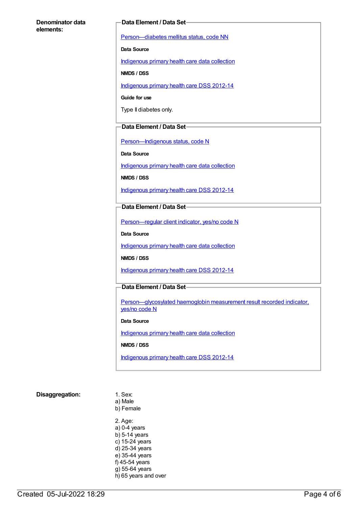#### **Denominator data elements:**

#### **Data Element / Data Set**

[Person—diabetes](https://meteor.aihw.gov.au/content/270194) mellitus status, code NN

**Data Source**

[Indigenous](https://meteor.aihw.gov.au/content/430643) primary health care data collection

**NMDS / DSS**

[Indigenous](https://meteor.aihw.gov.au/content/430629) primary health care DSS 2012-14

**Guide for use**

Type II diabetes only.

#### **Data Element / Data Set**

[Person—Indigenous](https://meteor.aihw.gov.au/content/291036) status, code N

**Data Source**

[Indigenous](https://meteor.aihw.gov.au/content/430643) primary health care data collection

**NMDS / DSS**

[Indigenous](https://meteor.aihw.gov.au/content/430629) primary health care DSS 2012-14

**Data Element / Data Set**

[Person—regular](https://meteor.aihw.gov.au/content/436639) client indicator, yes/no code N

**Data Source**

[Indigenous](https://meteor.aihw.gov.au/content/430643) primary health care data collection

**NMDS / DSS**

[Indigenous](https://meteor.aihw.gov.au/content/430629) primary health care DSS 2012-14

#### **Data Element / Data Set**

[Person—glycosylated](https://meteor.aihw.gov.au/content/441495) haemoglobin measurement result recorded indicator, yes/no code N

#### **Data Source**

[Indigenous](https://meteor.aihw.gov.au/content/430643) primary health care data collection

#### **NMDS / DSS**

[Indigenous](https://meteor.aihw.gov.au/content/430629) primary health care DSS 2012-14

#### **Disaggregation:** 1. Sex:

- a) Male b) Female
- 2. Age: a) 0-4 years b) 5-14 years c) 15-24 years d) 25-34 years e) 35-44 years f) 45-54 years g) 55-64 years h) 65 years and over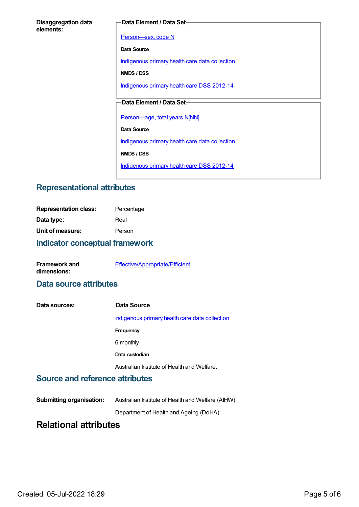#### **Data Element / Data Set**

[Person—sex,](https://meteor.aihw.gov.au/content/287316) code N

**Data Source**

[Indigenous](https://meteor.aihw.gov.au/content/430643) primary health care data collection

**NMDS / DSS**

[Indigenous](https://meteor.aihw.gov.au/content/430629) primary health care DSS 2012-14

### **Data Element / Data Set**

[Person—age,](https://meteor.aihw.gov.au/content/303794) total years N[NN]

**Data Source**

[Indigenous](https://meteor.aihw.gov.au/content/430643) primary health care data collection

**NMDS / DSS**

[Indigenous](https://meteor.aihw.gov.au/content/430629) primary health care DSS 2012-14

## **Representational attributes**

| <b>Representation class:</b> | Percentage |
|------------------------------|------------|
| Data type:                   | Real       |
| Unit of measure:             | Person     |
|                              |            |

### **Indicator conceptual framework**

| <b>Framework and</b> | Effective/Appropriate/Efficient |
|----------------------|---------------------------------|
| dimensions:          |                                 |

## **Data source attributes**

| Data sources: | Data Source                                    |
|---------------|------------------------------------------------|
|               | Indigenous primary health care data collection |
|               | Frequency                                      |
|               | 6 monthly                                      |
|               | Data custodian                                 |
|               | Australian Institute of Health and Welfare.    |

#### **Source and reference attributes**

**Submitting organisation:** Australian Institute of Health and Welfare (AIHW)

Department of Health and Ageing (DoHA)

## **Relational attributes**